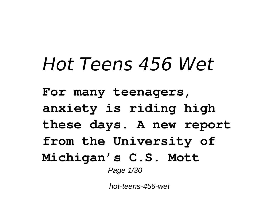# *Hot Teens 456 Wet*

**For many teenagers, anxiety is riding high these days. A new report from the University of Michigan's C.S. Mott** Page 1/30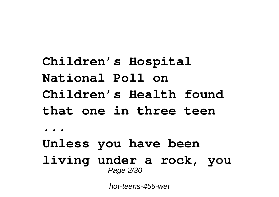**Children's Hospital National Poll on Children's Health found that one in three teen ... Unless you have been living under a rock, you** Page 2/30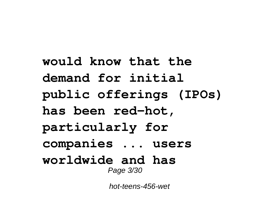**would know that the demand for initial public offerings (IPOs) has been red-hot, particularly for companies ... users worldwide and has** Page 3/30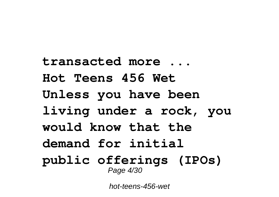**transacted more ... Hot Teens 456 Wet Unless you have been living under a rock, you would know that the demand for initial public offerings (IPOs)** Page 4/30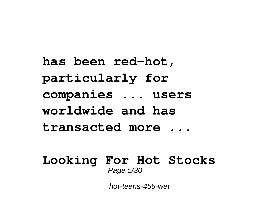**has been red-hot, particularly for companies ... users worldwide and has transacted more ...**

#### **Looking For Hot Stocks** Page 5/30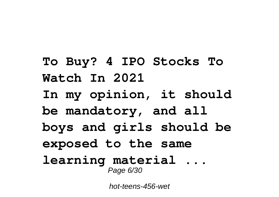**To Buy? 4 IPO Stocks To Watch In 2021 In my opinion, it should be mandatory, and all boys and girls should be exposed to the same learning material ...** Page 6/30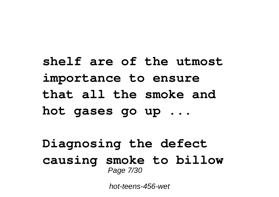## **shelf are of the utmost importance to ensure that all the smoke and hot gases go up ...**

#### **Diagnosing the defect causing smoke to billow** Page 7/30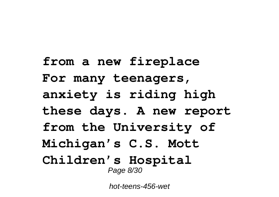**from a new fireplace For many teenagers, anxiety is riding high these days. A new report from the University of Michigan's C.S. Mott Children's Hospital** Page 8/30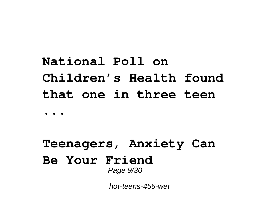# **National Poll on Children's Health found that one in three teen**

#### **...**

#### **Teenagers, Anxiety Can Be Your Friend** Page 9/30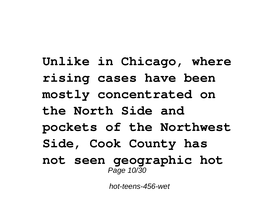**Unlike in Chicago, where rising cases have been mostly concentrated on the North Side and pockets of the Northwest Side, Cook County has not seen geographic hot** Page 10/30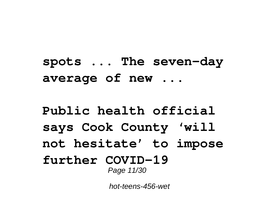**spots ... The seven-day average of new ...**

#### **Public health official says Cook County 'will not hesitate' to impose further COVID-19** Page 11/30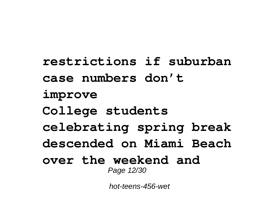**restrictions if suburban case numbers don't improve College students celebrating spring break descended on Miami Beach over the weekend and** Page 12/30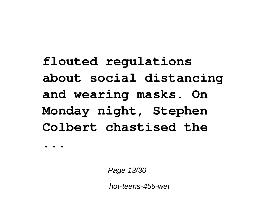# **flouted regulations about social distancing and wearing masks. On Monday night, Stephen Colbert chastised the**

**...**

Page 13/30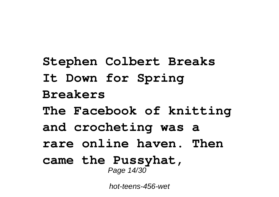**Stephen Colbert Breaks It Down for Spring Breakers The Facebook of knitting and crocheting was a rare online haven. Then came the Pussyhat,** Page 14/30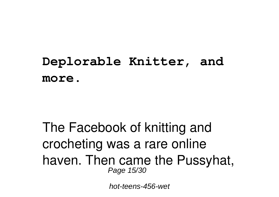#### **Deplorable Knitter, and more.**

#### The Facebook of knitting and crocheting was a rare online haven. Then came the Pussyhat, Page 15/30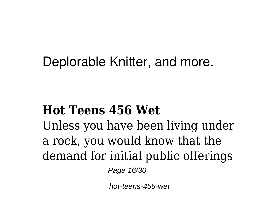#### Deplorable Knitter, and more.

#### **Hot Teens 456 Wet**

Unless you have been living under a rock, you would know that the demand for initial public offerings

Page 16/30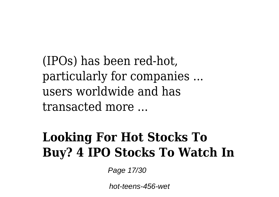(IPOs) has been red-hot, particularly for companies ... users worldwide and has transacted more ...

#### **Looking For Hot Stocks To Buy? 4 IPO Stocks To Watch In**

Page 17/30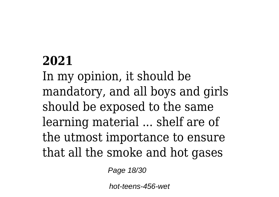#### **2021**

In my opinion, it should be mandatory, and all boys and girls should be exposed to the same learning material ... shelf are of the utmost importance to ensure that all the smoke and hot gases

Page 18/30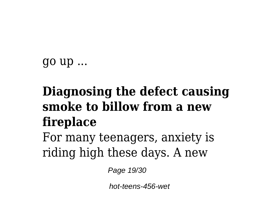go up ...

## **Diagnosing the defect causing smoke to billow from a new fireplace**

For many teenagers, anxiety is riding high these days. A new

Page 19/30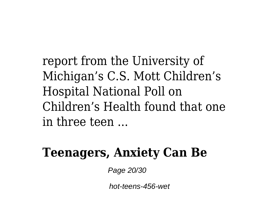report from the University of Michigan's C.S. Mott Children's Hospital National Poll on Children's Health found that one in three teen ...

#### **Teenagers, Anxiety Can Be**

Page 20/30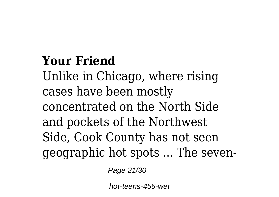#### **Your Friend**

Unlike in Chicago, where rising cases have been mostly concentrated on the North Side and pockets of the Northwest Side, Cook County has not seen geographic hot spots ... The seven-

Page 21/30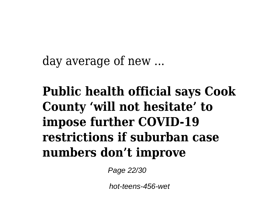day average of new ...

**Public health official says Cook County 'will not hesitate' to impose further COVID-19 restrictions if suburban case numbers don't improve**

Page 22/30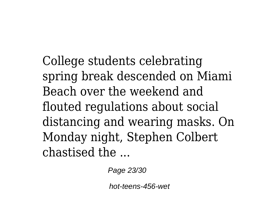College students celebrating spring break descended on Miami Beach over the weekend and flouted regulations about social distancing and wearing masks. On Monday night, Stephen Colbert chastised the ...

Page 23/30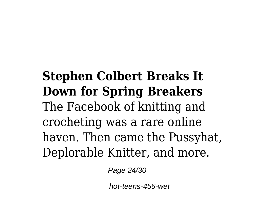#### **Stephen Colbert Breaks It Down for Spring Breakers** The Facebook of knitting and crocheting was a rare online haven. Then came the Pussyhat, Deplorable Knitter, and more.

Page 24/30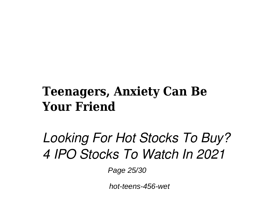#### **Teenagers, Anxiety Can Be Your Friend**

## *Looking For Hot Stocks To Buy? 4 IPO Stocks To Watch In 2021*

Page 25/30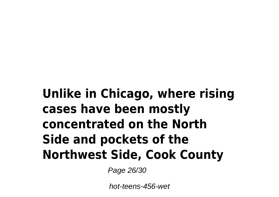### **Unlike in Chicago, where rising cases have been mostly concentrated on the North Side and pockets of the Northwest Side, Cook County**

Page 26/30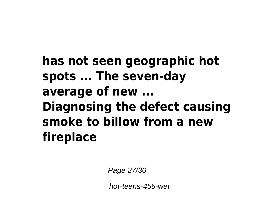#### **has not seen geographic hot spots ... The seven-day average of new ... Diagnosing the defect causing smoke to billow from a new fireplace**

Page 27/30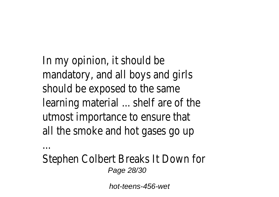In my opinion, it should be mandatory, and all boys and girls should be exposed to the same learning material ... shelf are of the utmost importance to ensure that all the smoke and hot gases go up

...

Stephen Colbert Breaks It Down for Page 28/30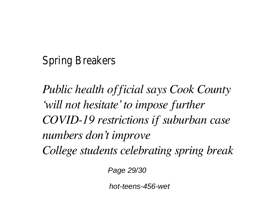Spring Breakers

*Public health official says Cook County 'will not hesitate' to impose further COVID-19 restrictions if suburban case numbers don't improve College students celebrating spring break*

Page 29/30